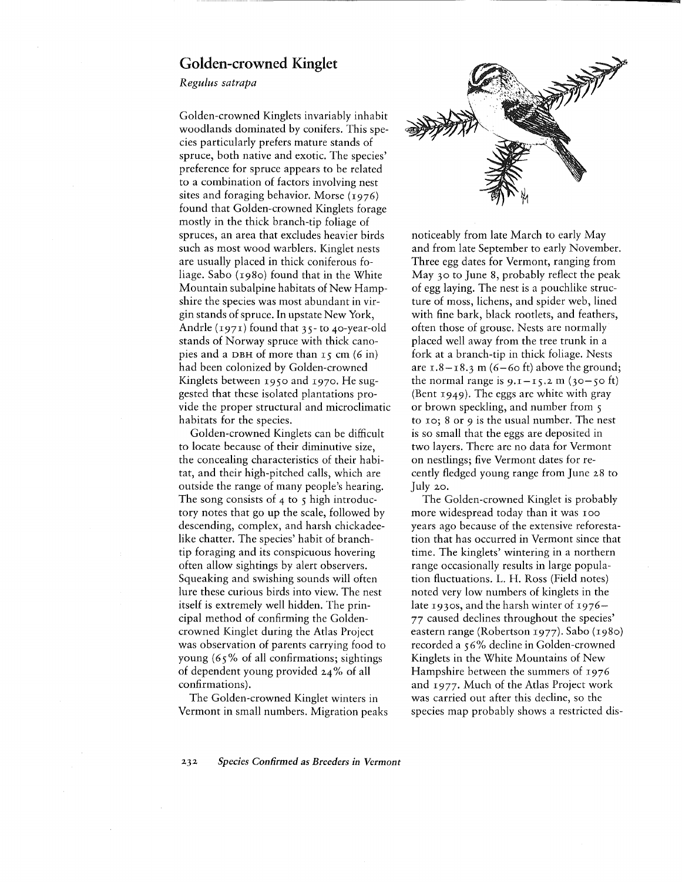## Golden-crowned Kinglet

*Regulus satrapa*

Golden-crowned Kinglets invariably inhabit woodlands dominated by conifers. This species particularly prefers mature stands of spruce, both native and exotic. The species' preference for spruce appears to be related to a combination of factors involving nest sites and foraging behavior. Morse  $(1976)$ found that Golden-crowned Kinglets forage mostly in the thick branch-tip foliage of spruces, an area that excludes heavier birds such as most wood warblers. Kinglet nests are usually placed in thick coniferous foliage. Sabo (1980) found that in the White Mountain subalpine habitats of New Hampshire the species was most abundant in virgin stands of spruce. In upstate New York, Andrle (1971) found that 35- to 40-year-old stands of Norway spruce with thick canopies and a DBH of more than  $r_5$  cm (6 in) had been colonized by Golden-crowned Kinglets between 1950 and 1970. He suggested that these isolated plantations provide the proper structural and microclimatic habitats for the species.

Golden-crowned Kinglets can be difficult to locate because of their diminutive size, the concealing characteristics of their habitat, and their high-pitched calls, which are outside the range of many people's hearing. The song consists of  $4$  to  $5$  high introductory notes that go up the scale, followed by descending, complex, and harsh chickadeelike chatter. The species' habit of branchtip foraging and its conspicuous hovering often allow sightings by alert observers. Squeaking and swishing sounds will often lure these curious birds into view. The nest itself is extremely well hidden. The principal method of confirming the Goldencrowned Kinglet during the Atlas Project was observation of parents carrying food to young (65 % of all confirmations; sightings of dependent young provided 24 % of all confirmations).

The Golden-crowned Kinglet winters in Vermont in small numbers. Migration peaks



noticeably from late March to early May and from late September to early November. Three egg dates for Vermont, ranging from May 30 to June 8, probably reflect the peak of egg laying. The nest is a pouchlike structure of moss, lichens, and spider web, lined with fine bark, black rootlets, and feathers, often those of grouse. Nests are normally placed well away from the tree trunk in a fork at a branch-tip in thick foliage. Nests are  $1.8 - 18.3$  m (6-60 ft) above the ground; the normal range is  $9.1 - 15.2$  m ( $30 - 50$  ft) (Bent 1949). The eggs are white with gray or brown speckling, and number from 5 to 10; 8 or 9 is the usual number. The nest is so small that the eggs are deposited in two layers. There are no data for Vermont on nestlings; five Vermont dates for recently fledged young range from June 28 to July 20.

The Golden-crowned Kinglet is probably more widespread today than it was 100 years ago because of the extensive reforestation that has occurred in Vermont since that time. The kinglets' wintering in a northern range occasionally results in large population fluctuations. L. H. Ross (Field notes) noted very low numbers of kinglets in the late 1930S, and the harsh winter of 1976- 77 caused declines throughout the species' eastern range (Robertson 1977). Sabo (1980) recorded a 56% decline in Golden-crowned Kinglets in the White Mountains of New Hampshire between the summers of 1976 and 1977. Much of the Atlas Project work was carried out after this decline, so the species map probably shows a restricted dis-

*232 Species Confirmed as Breeders in Vermont*